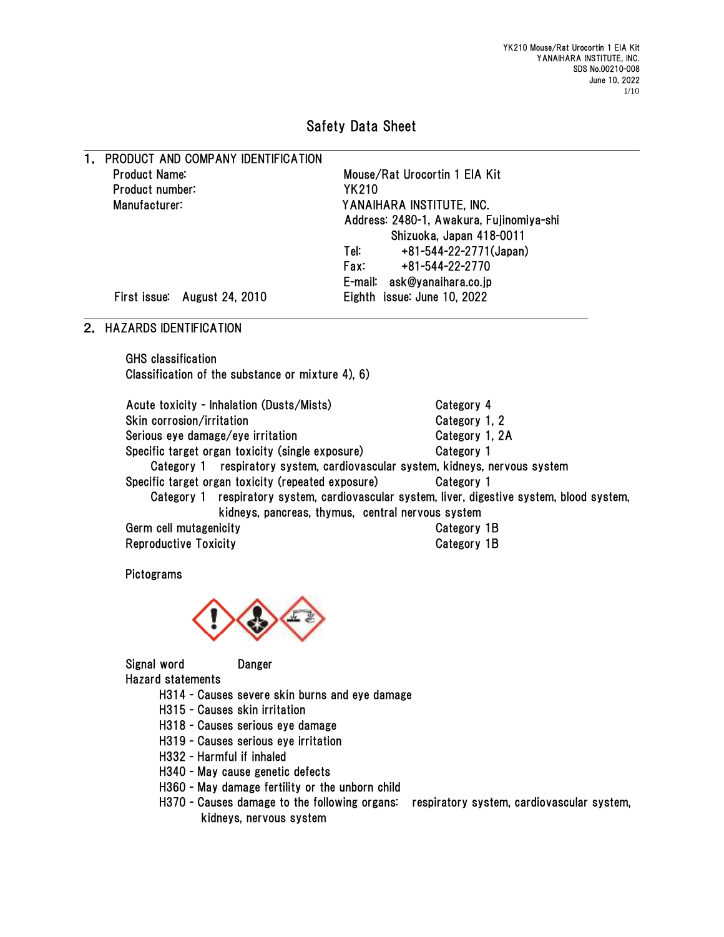# Safety Data Sheet

1. PRODUCT AND COMPANY IDENTIFICATION Product Name: which can be a more more about Mouse/Rat Urocortin 1 EIA Kit Product number: YK210

Manufacturer: YANAIHARA INSTITUTE, INC. Address: 2480-1, Awakura, Fujinomiya-shi Shizuoka, Japan 418-0011 Tel: +81-544-22-2771(Japan) Fax: +81-544-22-2770 E-mail: ask@yanaihara.co.jp First issue: August 24, 2010 Eighth issue: June 10, 2022

#### 2. HAZARDS IDENTIFICATION

GHS classification Classification of the substance or mixture 4), 6)

| Acute toxicity - Inhalation (Dusts/Mists)                                                    | Category 4     |
|----------------------------------------------------------------------------------------------|----------------|
| Skin corrosion/irritation                                                                    | Category 1, 2  |
| Serious eye damage/eye irritation                                                            | Category 1, 2A |
| Specific target organ toxicity (single exposure)                                             | Category 1     |
| Category 1 respiratory system, cardiovascular system, kidneys, nervous system                |                |
| Specific target organ toxicity (repeated exposure)                                           | Category 1     |
| Category 1 respiratory system, cardiovascular system, liver, digestive system, blood system, |                |
| kidneys, pancreas, thymus, central nervous system                                            |                |
| Germ cell mutagenicity                                                                       | Category 1B    |
| <b>Reproductive Toxicity</b>                                                                 | Category 1B    |

**Pictograms** 



Signal word Danger Hazard statements

- H314 Causes severe skin burns and eye damage
- H315 Causes skin irritation
- H318 Causes serious eye damage
- H319 Causes serious eye irritation
- H332 Harmful if inhaled
- H340 May cause genetic defects
- H360 May damage fertility or the unborn child
- H370 Causes damage to the following organs: respiratory system, cardiovascular system, kidneys, nervous system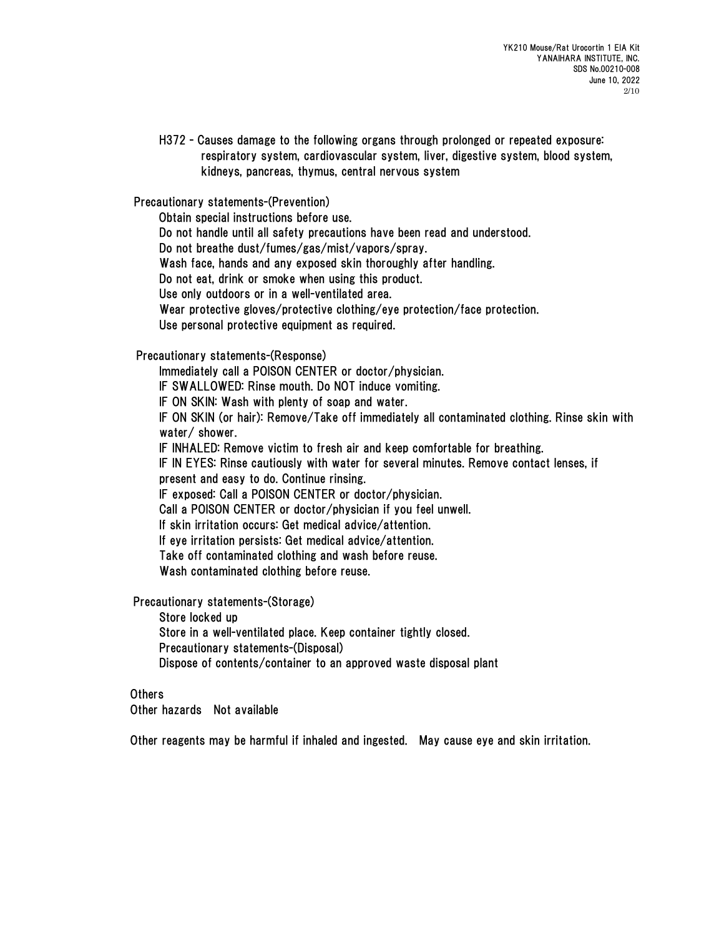H372 - Causes damage to the following organs through prolonged or repeated exposure: respiratory system, cardiovascular system, liver, digestive system, blood system, kidneys, pancreas, thymus, central nervous system

Precautionary statements-(Prevention)

Obtain special instructions before use.

Do not handle until all safety precautions have been read and understood.

Do not breathe dust/fumes/gas/mist/vapors/spray.

Wash face, hands and any exposed skin thoroughly after handling.

Do not eat, drink or smoke when using this product.

Use only outdoors or in a well-ventilated area.

Wear protective gloves/protective clothing/eye protection/face protection.

Use personal protective equipment as required.

#### Precautionary statements-(Response)

Immediately call a POISON CENTER or doctor/physician.

IF SWALLOWED: Rinse mouth. Do NOT induce vomiting.

IF ON SKIN: Wash with plenty of soap and water.

IF ON SKIN (or hair): Remove/Take off immediately all contaminated clothing. Rinse skin with water/ shower.

IF INHALED: Remove victim to fresh air and keep comfortable for breathing.

IF IN EYES: Rinse cautiously with water for several minutes. Remove contact lenses, if present and easy to do. Continue rinsing.

IF exposed: Call a POISON CENTER or doctor/physician.

Call a POISON CENTER or doctor/physician if you feel unwell.

If skin irritation occurs: Get medical advice/attention.

If eye irritation persists: Get medical advice/attention.

Take off contaminated clothing and wash before reuse.

Wash contaminated clothing before reuse.

Precautionary statements-(Storage)

Store locked up

Store in a well-ventilated place. Keep container tightly closed.

Precautionary statements-(Disposal)

Dispose of contents/container to an approved waste disposal plant

#### **Others**

Other hazards Not available

Other reagents may be harmful if inhaled and ingested. May cause eye and skin irritation.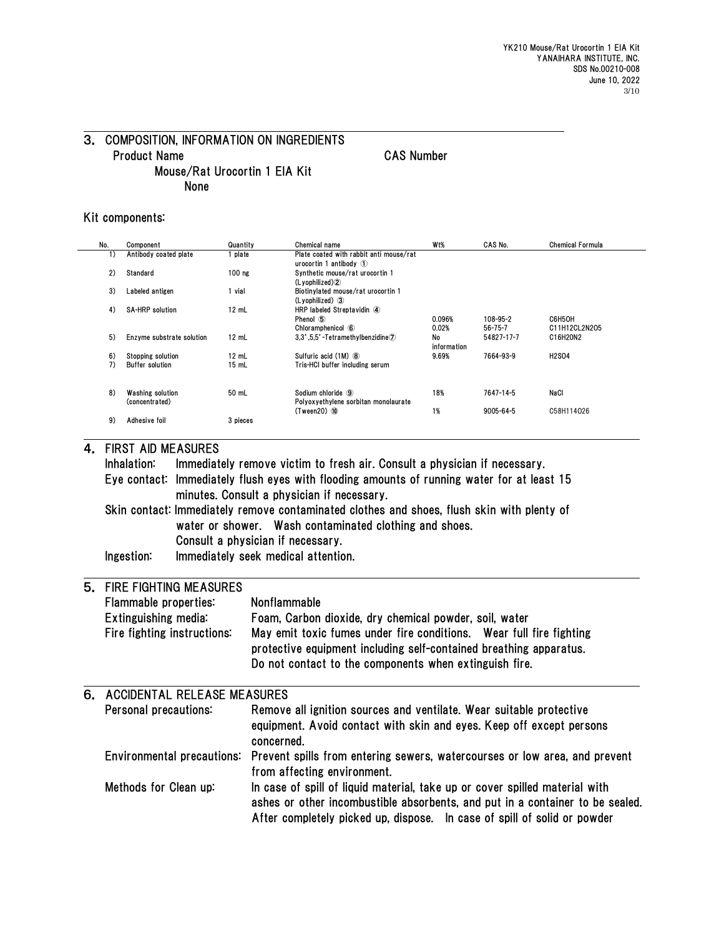## 3. COMPOSITION, INFORMATION ON INGREDIENTS Product Name CAS Number Mouse/Rat Urocortin 1 EIA Kit None

#### Kit components:

| No. | Component                 | Quantity | Chemical name                                 | W <sub>t</sub> % | CAS No.       | <b>Chemical Formula</b> |
|-----|---------------------------|----------|-----------------------------------------------|------------------|---------------|-------------------------|
| 1)  | Antibody coated plate     | plate    | Plate coated with rabbit anti mouse/rat       |                  |               |                         |
|     |                           |          | urocortin 1 antibody $\circled{1}$            |                  |               |                         |
| 2)  | Standard                  | $100$ ng | Synthetic mouse/rat urocortin 1               |                  |               |                         |
|     |                           |          | (Lvophilized)                                 |                  |               |                         |
| 3)  | Labeled antigen           | vial     | Biotinvlated mouse/rat urocortin 1            |                  |               |                         |
| 4)  | <b>SA-HRP solution</b>    | $12$ mL  | (Lyophilized) 3<br>HRP labeled Streptavidin 4 |                  |               |                         |
|     |                           |          | Phenol 5                                      | 0.096%           | 108-95-2      | C6H5OH                  |
|     |                           |          | Chloramphenicol 6                             | 0.02%            | $56 - 75 - 7$ | C11H12CL2N205           |
| 5)  | Enzyme substrate solution | $12$ mL  | 3,3',5,5'-Tetramethylbenzidine $\mathcal{D}$  | No               | 54827-17-7    | C16H20N2                |
|     |                           |          |                                               | information      |               |                         |
| 6)  | <b>Stopping solution</b>  | $12$ mL  | Sulfuric acid (1M) 8                          | 9.69%            | 7664-93-9     | <b>H2SO4</b>            |
| 7)  | <b>Buffer solution</b>    | 15 mL    | Tris-HCI buffer including serum               |                  |               |                         |
|     |                           |          |                                               |                  |               |                         |
| 8)  | Washing solution          | 50 mL    | Sodium chloride 9                             | 18%              | 7647-14-5     | NaCl                    |
|     | (concentrated)            |          | Polyoxyethylene sorbitan monolaurate          |                  |               |                         |
|     |                           |          | $(Tween20)$ $10$                              | 1%               | 9005-64-5     | C58H114026              |
| 9)  | Adhesive foil             | 3 pieces |                                               |                  |               |                         |
|     |                           |          |                                               |                  |               |                         |

#### 4. FIRST AID MEASURES

Inhalation: Immediately remove victim to fresh air. Consult a physician if necessary. Eye contact: Immediately flush eyes with flooding amounts of running water for at least 15 minutes. Consult a physician if necessary. Skin contact: Immediately remove contaminated clothes and shoes, flush skin with plenty of water or shower. Wash contaminated clothing and shoes. Consult a physician if necessary. Ingestion: Immediately seek medical attention.

#### 5. FIRE FIGHTING MEASURES Flammable properties: Nonflammable

| Flammable properties.       | <b>NONTIAMMADIE</b>                                                                                                                                                                                 |
|-----------------------------|-----------------------------------------------------------------------------------------------------------------------------------------------------------------------------------------------------|
| Extinguishing media:        | Foam, Carbon dioxide, dry chemical powder, soil, water                                                                                                                                              |
| Fire fighting instructions: | May emit toxic fumes under fire conditions. Wear full fire fighting<br>protective equipment including self-contained breathing apparatus.<br>Do not contact to the components when extinguish fire. |
|                             |                                                                                                                                                                                                     |

| 6. ACCIDENTAL RELEASE MEASURES |                                                                                                                                                                                                                                          |  |  |  |
|--------------------------------|------------------------------------------------------------------------------------------------------------------------------------------------------------------------------------------------------------------------------------------|--|--|--|
| Personal precautions:          | Remove all ignition sources and ventilate. Wear suitable protective<br>equipment. Avoid contact with skin and eyes. Keep off except persons<br>concerned.                                                                                |  |  |  |
|                                | Environmental precautions: Prevent spills from entering sewers, watercourses or low area, and prevent<br>from affecting environment.                                                                                                     |  |  |  |
| Methods for Clean up:          | In case of spill of liquid material, take up or cover spilled material with<br>ashes or other incombustible absorbents, and put in a container to be sealed.<br>After completely picked up, dispose. In case of spill of solid or powder |  |  |  |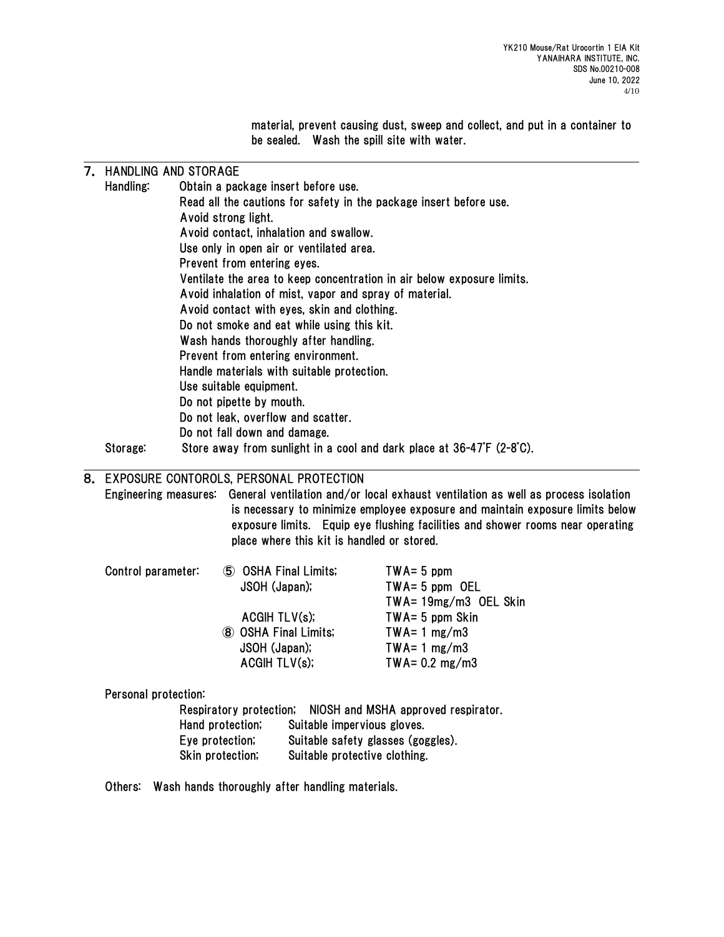material, prevent causing dust, sweep and collect, and put in a container to be sealed. Wash the spill site with water.

## 7. HANDLING AND STORAGE

|    | Handling: | Obtain a package insert before use.                                    |
|----|-----------|------------------------------------------------------------------------|
|    |           | Read all the cautions for safety in the package insert before use.     |
|    |           | Avoid strong light.                                                    |
|    |           | Avoid contact, inhalation and swallow.                                 |
|    |           | Use only in open air or ventilated area.                               |
|    |           | Prevent from entering eyes.                                            |
|    |           | Ventilate the area to keep concentration in air below exposure limits. |
|    |           | Avoid inhalation of mist, vapor and spray of material.                 |
|    |           | Avoid contact with eyes, skin and clothing.                            |
|    |           | Do not smoke and eat while using this kit.                             |
|    |           | Wash hands thoroughly after handling.                                  |
|    |           | Prevent from entering environment.                                     |
|    |           | Handle materials with suitable protection.                             |
|    |           | Use suitable equipment.                                                |
|    |           | Do not pipette by mouth.                                               |
|    |           | Do not leak, overflow and scatter.                                     |
|    |           | Do not fall down and damage.                                           |
|    | Storage:  | Store away from sunlight in a cool and dark place at 36-47°F (2-8°C).  |
| 8. |           | EXPOSURE CONTOROLS, PERSONAL PROTECTION                                |

Engineering measures: General ventilation and/or local exhaust ventilation as well as process isolation is necessary to minimize employee exposure and maintain exposure limits below exposure limits. Equip eye flushing facilities and shower rooms near operating place where this kit is handled or stored.

| Control parameter: | 5 OSHA Final Limits; | $TWA = 5$ ppm            |
|--------------------|----------------------|--------------------------|
|                    | JSOH (Japan);        | $TWA = 5$ ppm OEL        |
|                    |                      | TWA= 19mg/m3 OEL Skin    |
|                    | ACGHTLV(s);          | $TWA = 5$ ppm Skin       |
|                    | 8 OSHA Final Limits; | $TWA = 1 mg/m3$          |
|                    | JSOH (Japan);        | $TWA = 1 mg/m3$          |
|                    | ACGIH TLV(s);        | TWA= $0.2 \text{ mg/m3}$ |

Personal protection:

Respiratory protection; NIOSH and MSHA approved respirator. Hand protection; Suitable impervious gloves. Eye protection; Suitable safety glasses (goggles). Skin protection; Suitable protective clothing.

Others: Wash hands thoroughly after handling materials.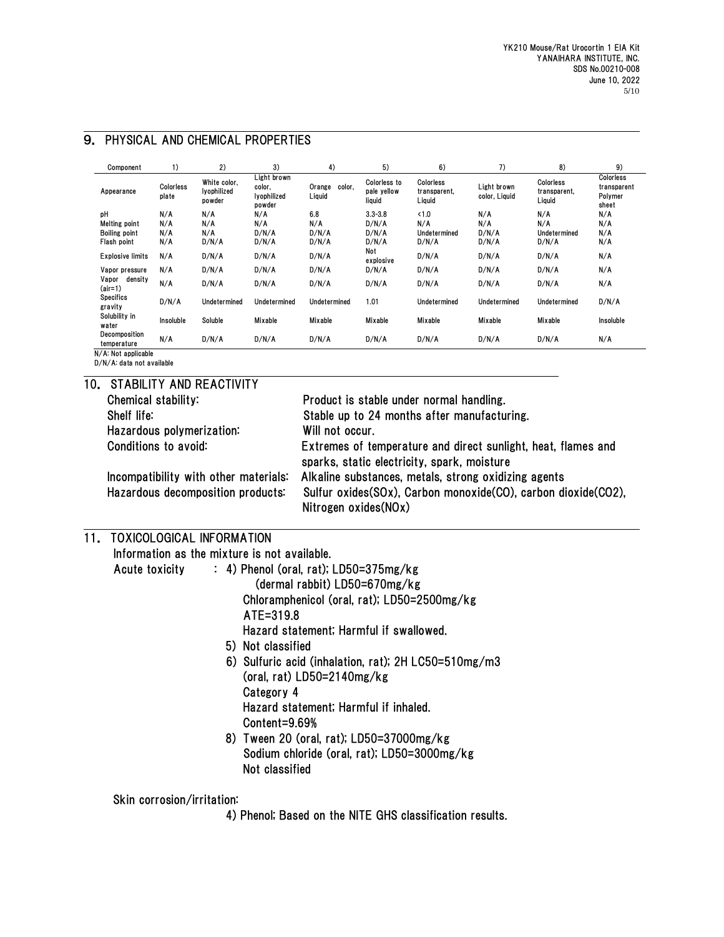| Component                    | 1)                 | 2)                                    | 3)                                             | 4)                         | 5)                                    | 6)                                  | 7)                           | 8)                                  | 9)                                           |
|------------------------------|--------------------|---------------------------------------|------------------------------------------------|----------------------------|---------------------------------------|-------------------------------------|------------------------------|-------------------------------------|----------------------------------------------|
| Appearance                   | Colorless<br>plate | White color,<br>lyophilized<br>powder | Light brown<br>color,<br>lyophilized<br>powder | Orange<br>color.<br>Liquid | Colorless to<br>pale yellow<br>liquid | Colorless<br>transparent,<br>Liquid | Light brown<br>color, Liquid | Colorless<br>transparent,<br>Liquid | Colorless<br>transparent<br>Polymer<br>sheet |
| pН                           | N/A                | N/A                                   | N/A                                            | 6.8                        | $3.3 - 3.8$                           | < 1.0                               | N/A                          | N/A                                 | N/A                                          |
| Melting point                | N/A                | N/A                                   | N/A                                            | N/A                        | D/N/A                                 | N/A                                 | N/A                          | N/A                                 | N/A                                          |
| <b>Boiling point</b>         | N/A                | N/A                                   | D/N/A                                          | D/N/A                      | D/N/A                                 | Undetermined                        | D/N/A                        | Undetermined                        | N/A                                          |
| Flash point                  | N/A                | D/N/A                                 | D/N/A                                          | D/N/A                      | D/N/A                                 | D/N/A                               | D/N/A                        | D/N/A                               | N/A                                          |
| <b>Explosive limits</b>      | N/A                | D/N/A                                 | D/N/A                                          | D/N/A                      | Not<br>explosive                      | D/N/A                               | D/N/A                        | D/N/A                               | N/A                                          |
| Vapor pressure               | N/A                | D/N/A                                 | D/N/A                                          | D/N/A                      | D/N/A                                 | D/N/A                               | D/N/A                        | D/N/A                               | N/A                                          |
| density<br>Vapor<br>$air=1)$ | N/A                | D/N/A                                 | D/N/A                                          | D/N/A                      | D/N/A                                 | D/N/A                               | D/N/A                        | D/N/A                               | N/A                                          |
| <b>Specifics</b><br>gravity  | D/N/A              | Undetermined                          | Undetermined                                   | Undetermined               | 1.01                                  | Undetermined                        | Undetermined                 | Undetermined                        | D/N/A                                        |
| Solubility in<br>water       | Insoluble          | Soluble                               | Mixable                                        | Mixable                    | Mixable                               | Mixable                             | Mixable                      | Mixable                             | Insoluble                                    |
| Decomposition<br>temperature | N/A                | D/N/A                                 | D/N/A                                          | D/N/A                      | D/N/A                                 | D/N/A                               | D/N/A                        | D/N/A                               | N/A                                          |
| N/A: Not applicable          |                    |                                       |                                                |                            |                                       |                                     |                              |                                     |                                              |

## 9. PHYSICAL AND CHEMICAL PROPERTIES

D/N/A: data not available

| 10. STABILITY AND REACTIVITY          |                                                                                                              |
|---------------------------------------|--------------------------------------------------------------------------------------------------------------|
| Chemical stability:                   | Product is stable under normal handling.                                                                     |
| Shelf life:                           | Stable up to 24 months after manufacturing.                                                                  |
| Hazardous polymerization:             | Will not occur.                                                                                              |
| Conditions to avoid:                  | Extremes of temperature and direct sunlight, heat, flames and<br>sparks, static electricity, spark, moisture |
| Incompatibility with other materials: | Alkaline substances, metals, strong oxidizing agents                                                         |
| Hazardous decomposition products:     | Sulfur oxides(SOx), Carbon monoxide(CO), carbon dioxide(CO2),<br>Nitrogen oxides(NOx)                        |

## 11. TOXICOLOGICAL INFORMATION

Information as the mixture is not available.

- Acute toxicity : 4) Phenol (oral, rat); LD50=375mg/kg (dermal rabbit) LD50=670mg/kg Chloramphenicol (oral, rat); LD50=2500mg/kg ATE=319.8 Hazard statement; Harmful if swallowed. 5) Not classified 6) Sulfuric acid (inhalation, rat); 2H LC50=510mg/m3
	- (oral, rat) LD50=2140mg/kg Category 4 Hazard statement; Harmful if inhaled. Content=9.69%
	- 8) Tween 20 (oral, rat); LD50=37000mg/kg Sodium chloride (oral, rat); LD50=3000mg/kg Not classified

Skin corrosion/irritation:

4) Phenol; Based on the NITE GHS classification results.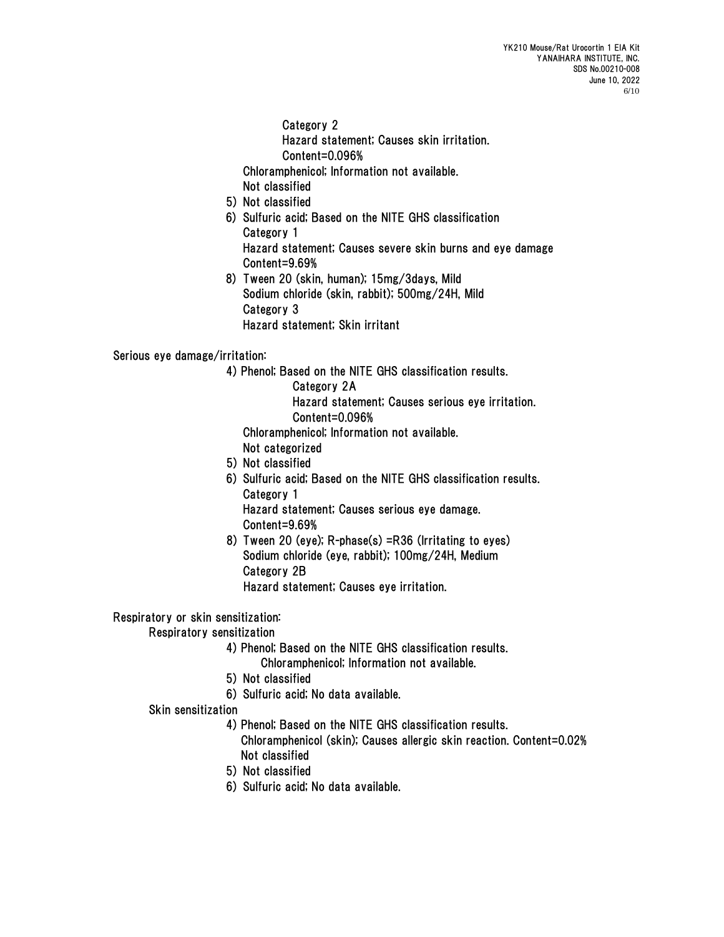Category 2 Hazard statement; Causes skin irritation. Content=0.096% Chloramphenicol; Information not available.

Not classified

- 5) Not classified
- 6) Sulfuric acid; Based on the NITE GHS classification Category 1 Hazard statement; Causes severe skin burns and eye damage
- Content=9.69% 8) Tween 20 (skin, human); 15mg/3days, Mild Sodium chloride (skin, rabbit); 500mg/24H, Mild Category 3 Hazard statement; Skin irritant

## Serious eye damage/irritation:

- 4) Phenol; Based on the NITE GHS classification results.
	- Category 2A

Hazard statement; Causes serious eye irritation. Content=0.096%

Chloramphenicol; Information not available.

- Not categorized
- 5) Not classified
- 6) Sulfuric acid; Based on the NITE GHS classification results. Category 1

Hazard statement; Causes serious eye damage. Content=9.69%

 8) Tween 20 (eye); R-phase(s) =R36 (Irritating to eyes) Sodium chloride (eye, rabbit); 100mg/24H, Medium Category 2B Hazard statement; Causes eye irritation.

#### Respiratory or skin sensitization:

## Respiratory sensitization

- 4) Phenol; Based on the NITE GHS classification results.
	- Chloramphenicol; Information not available.
- 5) Not classified
- 6) Sulfuric acid; No data available.

#### Skin sensitization

- 4) Phenol; Based on the NITE GHS classification results.
	- Chloramphenicol (skin); Causes allergic skin reaction. Content=0.02% Not classified
- 5) Not classified
- 6) Sulfuric acid; No data available.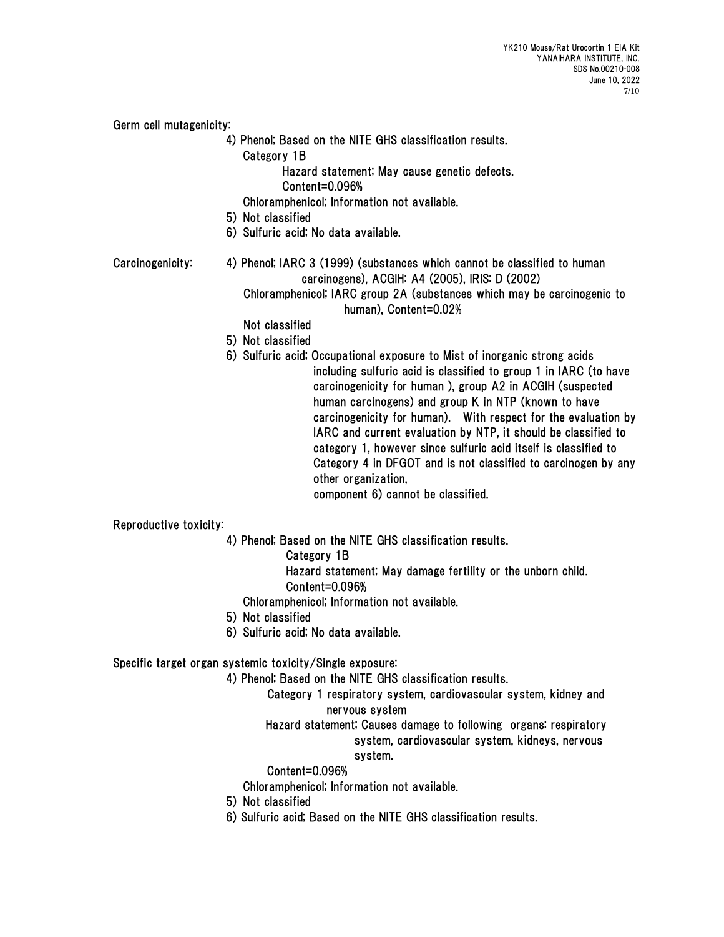Germ cell mutagenicity:

- 4) Phenol; Based on the NITE GHS classification results.
	- Category 1B

Hazard statement; May cause genetic defects.

 Content=0.096% Chloramphenicol; Information not available.

- 5) Not classified
- 6) Sulfuric acid; No data available.
- Carcinogenicity: 4) Phenol; IARC 3 (1999) (substances which cannot be classified to human carcinogens), ACGIH: A4 (2005), IRIS: D (2002) Chloramphenicol; IARC group 2A (substances which may be carcinogenic to human), Content=0.02%
	- Not classified
	- 5) Not classified
	- 6) Sulfuric acid; Occupational exposure to Mist of inorganic strong acids including sulfuric acid is classified to group 1 in IARC (to have carcinogenicity for human ), group A2 in ACGIH (suspected human carcinogens) and group K in NTP (known to have carcinogenicity for human). With respect for the evaluation by IARC and current evaluation by NTP, it should be classified to category 1, however since sulfuric acid itself is classified to Category 4 in DFGOT and is not classified to carcinogen by any other organization, component 6) cannot be classified.

Reproductive toxicity:

- 4) Phenol; Based on the NITE GHS classification results.
	- Category 1B
	- Hazard statement; May damage fertility or the unborn child.
	- Content=0.096%
	- Chloramphenicol; Information not available.
- 5) Not classified
- 6) Sulfuric acid; No data available.

## Specific target organ systemic toxicity/Single exposure:

4) Phenol; Based on the NITE GHS classification results.

Category 1 respiratory system, cardiovascular system, kidney and nervous system

# Hazard statement; Causes damage to following organs: respiratory system, cardiovascular system, kidneys, nervous

## system.

Content=0.096%

Chloramphenicol; Information not available.

- 5) Not classified
- 6) Sulfuric acid; Based on the NITE GHS classification results.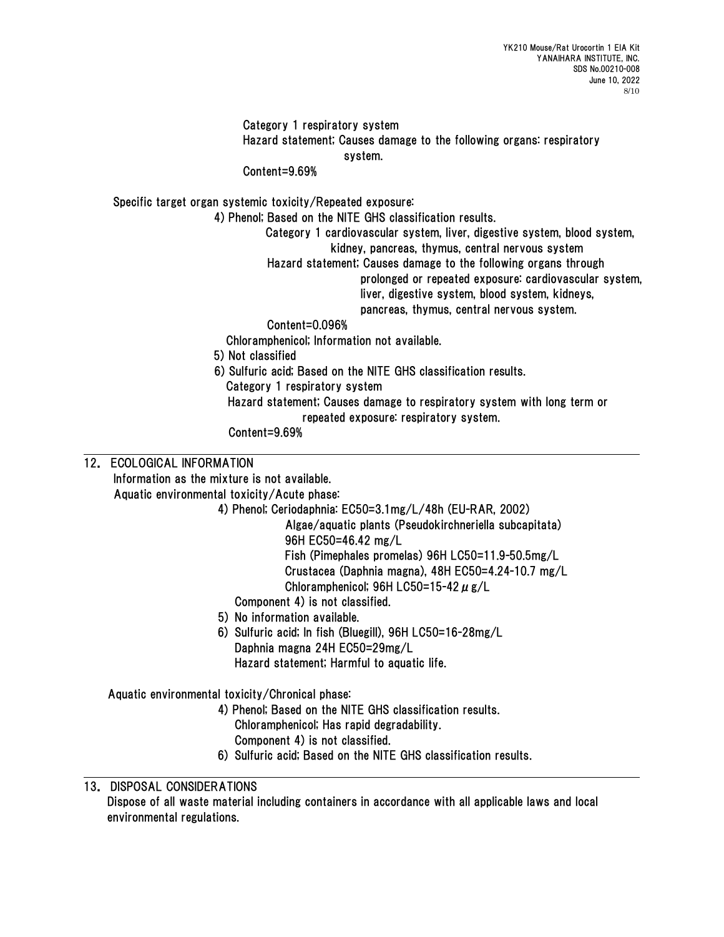Category 1 respiratory system Hazard statement; Causes damage to the following organs: respiratory system.

Content=9.69%

Specific target organ systemic toxicity/Repeated exposure:

4) Phenol; Based on the NITE GHS classification results.

Category 1 cardiovascular system, liver, digestive system, blood system, kidney, pancreas, thymus, central nervous system

Hazard statement; Causes damage to the following organs through

prolonged or repeated exposure: cardiovascular system, liver, digestive system, blood system, kidneys,

pancreas, thymus, central nervous system.

## Content=0.096%

Chloramphenicol; Information not available.

- 5) Not classified
- 6) Sulfuric acid; Based on the NITE GHS classification results. Category 1 respiratory system

 Hazard statement; Causes damage to respiratory system with long term or repeated exposure: respiratory system.

Content=9.69%

## 12. ECOLOGICAL INFORMATION

Information as the mixture is not available.

Aquatic environmental toxicity/Acute phase:

4) Phenol; Ceriodaphnia: EC50=3.1mg/L/48h (EU-RAR, 2002)

Algae/aquatic plants (Pseudokirchneriella subcapitata) 96H EC50=46.42 mg/L Fish (Pimephales promelas) 96H LC50=11.9-50.5mg/L Crustacea (Daphnia magna), 48H EC50=4.24-10.7 mg/L

Chloramphenicol; 96H LC50=15-42  $\mu$  g/L

- Component 4) is not classified.
- 5) No information available.
- 6) Sulfuric acid; In fish (Bluegill), 96H LC50=16-28mg/L Daphnia magna 24H EC50=29mg/L Hazard statement; Harmful to aquatic life.

Aquatic environmental toxicity/Chronical phase:

- 4) Phenol; Based on the NITE GHS classification results. Chloramphenicol; Has rapid degradability.
	- Component 4) is not classified.
- 6) Sulfuric acid; Based on the NITE GHS classification results.

# 13. DISPOSAL CONSIDERATIONS

Dispose of all waste material including containers in accordance with all applicable laws and local environmental regulations.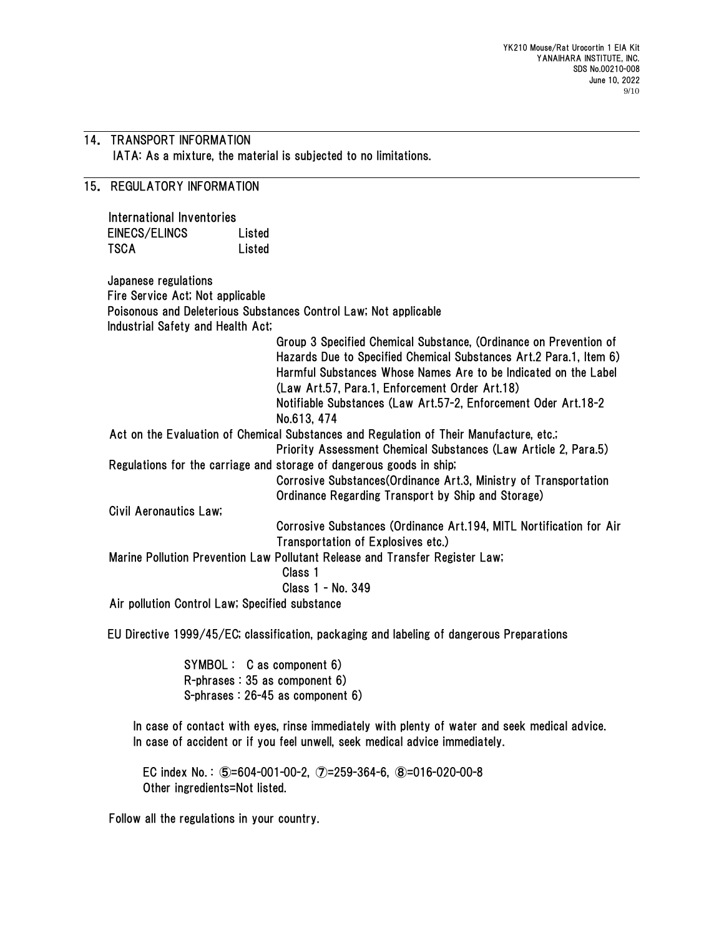#### 14. TRANSPORT INFORMATION IATA: As a mixture, the material is subjected to no limitations.

# 15. REGULATORY INFORMATION

International Inventories EINECS/ELINCS Listed TSCA Listed

Japanese regulations Fire Service Act; Not applicable Poisonous and Deleterious Substances Control Law; Not applicable Industrial Safety and Health Act; Group 3 Specified Chemical Substance, (Ordinance on Prevention of Hazards Due to Specified Chemical Substances Art.2 Para.1, Item 6) Harmful Substances Whose Names Are to be Indicated on the Label (Law Art.57, Para.1, Enforcement Order Art.18) Notifiable Substances (Law Art.57-2, Enforcement Oder Art.18-2 No.613, 474 Act on the Evaluation of Chemical Substances and Regulation of Their Manufacture, etc.; Priority Assessment Chemical Substances (Law Article 2, Para.5) Regulations for the carriage and storage of dangerous goods in ship; Corrosive Substances(Ordinance Art.3, Ministry of Transportation Ordinance Regarding Transport by Ship and Storage) Civil Aeronautics Law; Corrosive Substances (Ordinance Art.194, MITL Nortification for Air Transportation of Explosives etc.) Marine Pollution Prevention Law Pollutant Release and Transfer Register Law; Class 1 Class 1 - No. 349 Air pollution Control Law; Specified substance

EU Directive 1999/45/EC; classification, packaging and labeling of dangerous Preparations

SYMBOL : C as component 6) R-phrases : 35 as component 6) S-phrases : 26-45 as component 6)

In case of contact with eyes, rinse immediately with plenty of water and seek medical advice. In case of accident or if you feel unwell, seek medical advice immediately.

EC index No. : ⑤=604-001-00-2, ⑦=259-364-6, ⑧=016-020-00-8 Other ingredients=Not listed.

Follow all the regulations in your country.